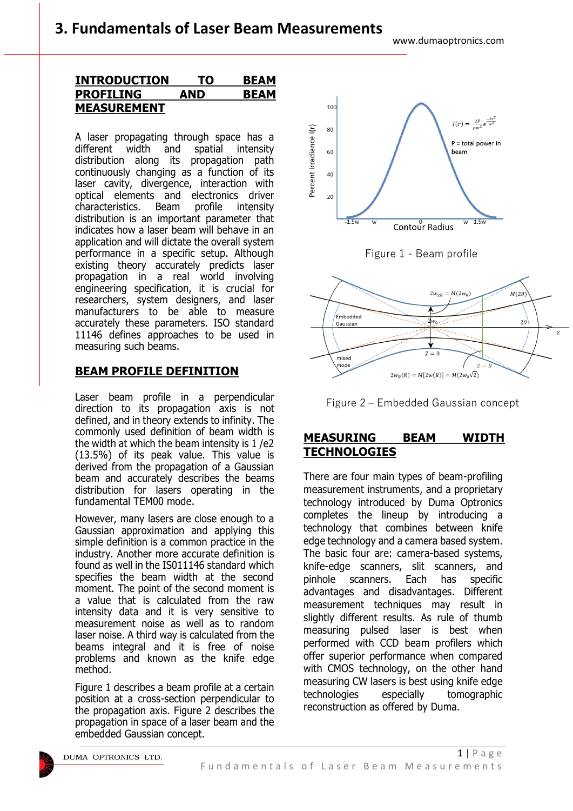## **INTRODUCTION TO BEAM PROFILING AND BEAM MEASUREMENT**

A laser propagating through space has a different width and spatial intensity distribution along its propagation path continuously changing as a function of its laser cavity, divergence, interaction with optical elements and electronics driver characteristics. Beam profile intensity distribution is an important parameter that indicates how a laser beam will behave in an application and will dictate the overall system performance in a specific setup. Although existing theory accurately predicts laser propagation in a real world involving engineering specification, it is crucial for researchers, system designers, and laser manufacturers to be able to measure accurately these parameters. ISO standard 11146 defines approaches to be used in measuring such beams.

# **BEAM PROFILE DEFINITION**

Laser beam profile in a perpendicular direction to its propagation axis is not defined, and in theory extends to infinity. The commonly used definition of beam width is the width at which the beam intensity is 1 /e2 (13.5%) of its peak value. This value is derived from the propagation of a Gaussian beam and accurately describes the beams distribution for lasers operating in the fundamental TEM00 mode.

However, many lasers are close enough to a Gaussian approximation and applying this simple definition is a common practice in the industry. Another more accurate definition is found as well in the IS011146 standard which specifies the beam width at the second moment. The point of the second moment is a value that is calculated from the raw intensity data and it is very sensitive to measurement noise as well as to random laser noise. A third way is calculated from the beams integral and it is free of noise problems and known as the knife edge method.

Figure 1 describes a beam profile at a certain position at a cross-section perpendicular to the propagation axis. Figure 2 describes the propagation in space of a laser beam and the embedded Gaussian concept.









## **MEASURING BEAM WIDTH TECHNOLOGIES**

There are four main types of beam-profiling measurement instruments, and a proprietary technology introduced by Duma Optronics completes the lineup by introducing a technology that combines between knife edge technology and a camera based system. The basic four are: camera-based systems, knife-edge scanners, slit scanners, and pinhole scanners. Each has specific advantages and disadvantages. Different measurement techniques may result in slightly different results. As rule of thumb measuring pulsed laser is best when performed with CCD beam profilers which offer superior performance when compared with CMOS technology, on the other hand measuring CW lasers is best using knife edge technologies especially tomographic reconstruction as offered by Duma.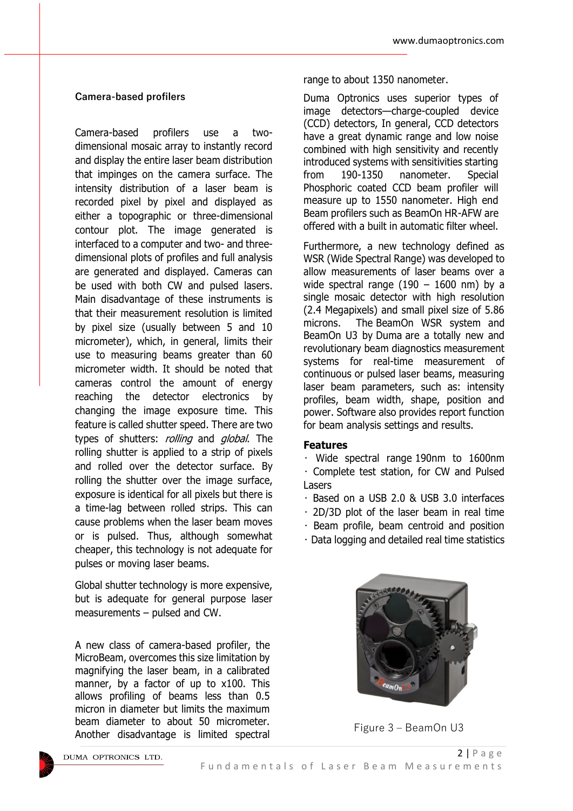#### **Camera-based profilers**

Camera-based profilers use a twodimensional mosaic array to instantly record and display the entire laser beam distribution that impinges on the camera surface. The intensity distribution of a laser beam is recorded pixel by pixel and displayed as either a topographic or three-dimensional contour plot. The image generated is interfaced to a computer and two- and threedimensional plots of profiles and full analysis are generated and displayed. Cameras can be used with both CW and pulsed lasers. Main disadvantage of these instruments is that their measurement resolution is limited by pixel size (usually between 5 and 10 micrometer), which, in general, limits their use to measuring beams greater than 60 micrometer width. It should be noted that cameras control the amount of energy reaching the detector electronics by changing the image exposure time. This feature is called shutter speed. There are two types of shutters: *rolling* and *global*. The rolling shutter is applied to a strip of pixels and rolled over the detector surface. By rolling the shutter over the image surface, exposure is identical for all pixels but there is a time-lag between rolled strips. This can cause problems when the laser beam moves or is pulsed. Thus, although somewhat cheaper, this technology is not adequate for pulses or moving laser beams.

Global shutter technology is more expensive, but is adequate for general purpose laser measurements – pulsed and CW.

A new class of camera-based profiler, the MicroBeam, overcomes this size limitation by magnifying the laser beam, in a calibrated manner, by a factor of up to x100. This allows profiling of beams less than 0.5 micron in diameter but limits the maximum beam diameter to about 50 micrometer. Another disadvantage is limited spectral

#### range to about 1350 nanometer.

Duma Optronics uses superior types of image detectors—charge-coupled device (CCD) detectors, In general, CCD detectors have a great dynamic range and low noise combined with high sensitivity and recently introduced systems with sensitivities starting from 190-1350 nanometer. Special Phosphoric coated CCD beam profiler will measure up to 1550 nanometer. High end Beam profilers such as BeamOn HR-AFW are offered with a built in automatic filter wheel.

Furthermore, a new technology defined as WSR (Wide Spectral Range) was developed to allow measurements of laser beams over a wide spectral range  $(190 - 1600 \text{ nm})$  by a single mosaic detector with high resolution (2.4 Megapixels) and small pixel size of 5.86 microns. The [BeamOn WSR](http://www.duma.co.il/new-products/beamon-wsr.html) system and BeamOn U3 by [Duma](http://www.duma.co.il/) are a totally new and revolutionary beam diagnostics measurement systems for real-time measurement of continuous or pulsed laser beams, measuring laser beam parameters, such as: intensity profiles, beam width, shape, position and power. Software also provides report function for beam analysis settings and results.

#### **Features**

• Wide spectral range 190nm to 1600nm • Complete test station, for CW and Pulsed Lasers

- Based on a USB 2.0 & USB 3.0 interfaces
- 2D/3D plot of the laser beam in real time
- Beam profile, beam centroid and position
- Data logging and detailed real time statistics



Figure 3 – BeamOn U3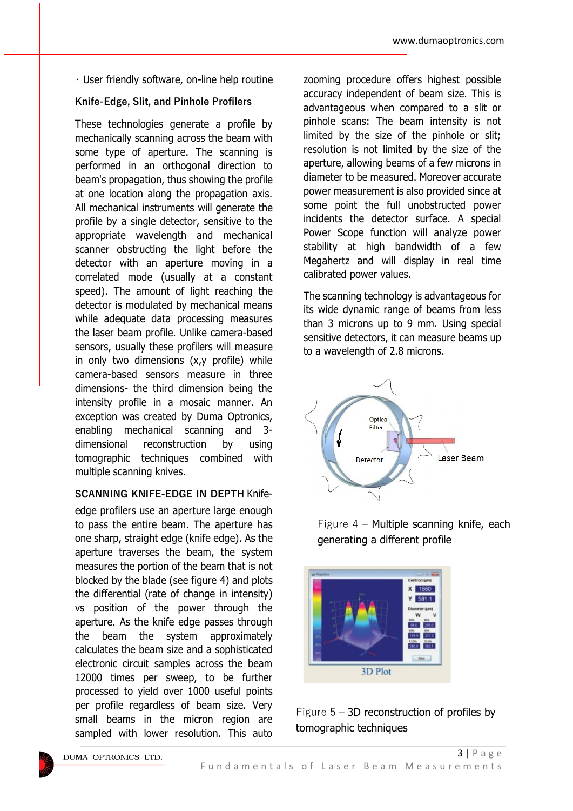• User friendly software, on-line help routine

### **Knife-Edge, Slit, and Pinhole Profilers**

These technologies generate a profile by mechanically scanning across the beam with some type of aperture. The scanning is performed in an orthogonal direction to beam's propagation, thus showing the profile at one location along the propagation axis. All mechanical instruments will generate the profile by a single detector, sensitive to the appropriate wavelength and mechanical scanner obstructing the light before the detector with an aperture moving in a correlated mode (usually at a constant speed). The amount of light reaching the detector is modulated by mechanical means while adequate data processing measures the laser beam profile. Unlike camera-based sensors, usually these profilers will measure in only two dimensions (x,y profile) while camera-based sensors measure in three dimensions- the third dimension being the intensity profile in a mosaic manner. An exception was created by Duma Optronics, enabling mechanical scanning and 3 dimensional reconstruction by using tomographic techniques combined with multiple scanning knives.

## **SCANNING KNIFE-EDGE IN DEPTH** Knifeedge profilers use an aperture large enough to pass the entire beam. The aperture has one sharp, straight edge (knife edge). As the aperture traverses the beam, the system measures the portion of the beam that is not blocked by the blade (see figure 4) and plots the differential (rate of change in intensity) vs position of the power through the aperture. As the knife edge passes through the beam the system approximately calculates the beam size and a sophisticated electronic circuit samples across the beam 12000 times per sweep, to be further processed to yield over 1000 useful points per profile regardless of beam size. Very small beams in the micron region are sampled with lower resolution. This auto

zooming procedure offers highest possible accuracy independent of beam size. This is advantageous when compared to a slit or pinhole scans: The beam intensity is not limited by the size of the pinhole or slit; resolution is not limited by the size of the aperture, allowing beams of a few microns in diameter to be measured. Moreover accurate power measurement is also provided since at some point the full unobstructed power incidents the detector surface. A special Power Scope function will analyze power stability at high bandwidth of a few Megahertz and will display in real time calibrated power values.

The scanning technology is advantageous for its wide dynamic range of beams from less than 3 microns up to 9 mm. Using special sensitive detectors, it can measure beams up to a wavelength of 2.8 microns.



Figure 4 – Multiple scanning knife, each generating a different profile